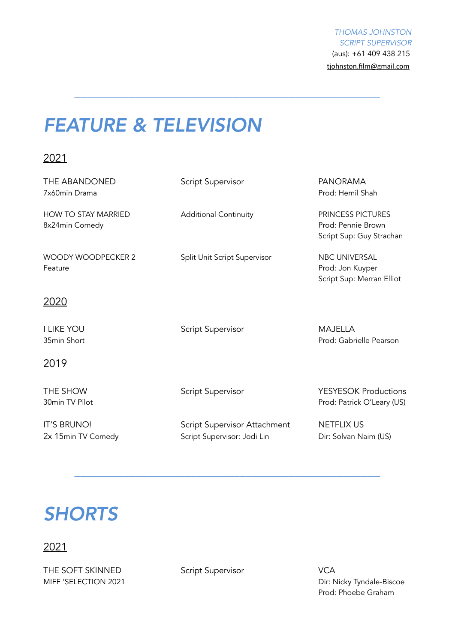*THOMAS JOHNSTON SCRIPT SUPERVISOR*  (aus): +61 409 438 215 [tjohnston.film@gmail.com](mailto:tjohnston.film@gmail.com)

## *FEATURE & TELEVISION*

2021

| THE ABANDONED<br>7x60min Drama               | Script Supervisor                   | <b>PANORAMA</b><br>Prod: Hemil Shah                                        |
|----------------------------------------------|-------------------------------------|----------------------------------------------------------------------------|
| <b>HOW TO STAY MARRIED</b><br>8x24min Comedy | <b>Additional Continuity</b>        | <b>PRINCESS PICTURES</b><br>Prod: Pennie Brown<br>Script Sup: Guy Strachan |
| <b>WOODY WOODPECKER 2</b><br>Feature         | Split Unit Script Supervisor        | NBC UNIVERSAL<br>Prod: Jon Kuyper<br>Script Sup: Merran Elliot             |
| <u> 2020</u>                                 |                                     |                                                                            |
| <b>I LIKE YOU</b><br>35min Short             | Script Supervisor                   | <b>MAJELLA</b><br>Prod: Gabrielle Pearson                                  |
| <u>2019</u>                                  |                                     |                                                                            |
| THE SHOW<br>30min TV Pilot                   | Script Supervisor                   | <b>YESYESOK Productions</b><br>Prod: Patrick O'Leary (US)                  |
| <b>IT'S BRUNO!</b>                           | <b>Script Supervisor Attachment</b> | <b>NETFLIX US</b>                                                          |

*\_\_\_\_\_\_\_\_\_\_\_\_\_\_\_\_\_\_\_\_\_\_\_\_\_\_\_\_\_\_\_\_\_\_\_\_\_\_\_\_\_\_\_\_\_\_\_\_\_\_*

2x 15min TV Comedy Script Supervisor: Jodi Lin Dir: Solvan Naim (US)

*\_\_\_\_\_\_\_\_\_\_\_\_\_\_\_\_\_\_\_\_\_\_\_\_\_\_\_\_\_\_\_\_\_\_\_\_\_\_\_\_\_\_\_\_\_\_\_\_\_\_* 

# *SHORTS*

### 2021

THE SOFT SKINNED Script Supervisor VCA

MIFF 'SELECTION 2021 2001 2001 2001 2001 2008 2012 2013 2014 2016 2017: Nicky Tyndale-Biscoe Prod: Phoebe Graham